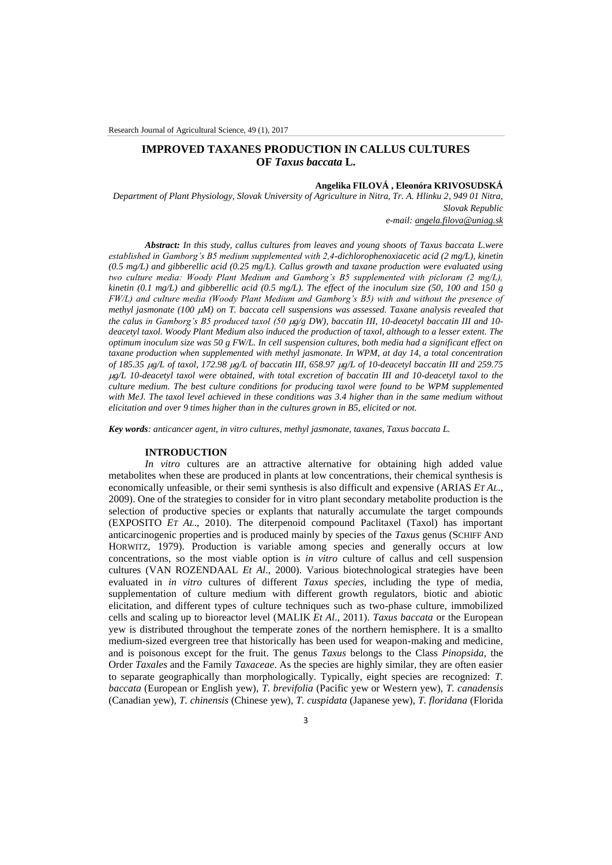# **IMPROVED TAXANES PRODUCTION IN CALLUS CULTURES OF** *Taxus baccata* **L.**

## **Angelika FILOVÁ , Eleonóra KRIVOSUDSKÁ**

*Department of Plant Physiology, Slovak University of Agriculture in Nitra, Tr. A. Hlinku 2, 949 01 Nitra, Slovak Republic*

*e-mail: [angela.filova@uniag.sk](mailto:angela.filova@uniag.sk)*

*Abstract: In this study, callus cultures from leaves and young shoots of Taxus baccata L.were established in Gamborg's B5 medium supplemented with 2,4-dichlorophenoxiacetic acid (2 mg/L), kinetin (0.5 mg/L) and gibberellic acid (0.25 mg/L). Callus growth and taxane production were evaluated using two culture media: Woody Plant Medium and Gamborg's B5 supplemented with picloram (2 mg/L), kinetin (0.1 mg/L) and gibberellic acid (0.5 mg/L). The effect of the inoculum size (50, 100 and 150 g FW/L) and culture media (Woody Plant Medium and Gamborg's B5) with and without the presence of methyl jasmonate (100 M) on T. baccata cell suspensions was assessed. Taxane analysis revealed that the calus in Gamborg's B5 produced taxol (50 g/g DW), baccatin III, 10-deacetyl baccatin III and 10 deacetyl taxol. Woody Plant Medium also induced the production of taxol, although to a lesser extent. The optimum inoculum size was 50 g FW/L. In cell suspension cultures, both media had a significant effect on taxane production when supplemented with methyl jasmonate. In WPM, at day 14, a total concentration of 185.35 g/L of taxol, 172.98 g/L of baccatin III, 658.97 g/L of 10-deacetyl baccatin III and 259.75 g/L 10-deacetyl taxol were obtained, with total excretion of baccatin III and 10-deacetyl taxol to the culture medium. The best culture conditions for producing taxol were found to be WPM supplemented with MeJ. The taxol level achieved in these conditions was 3.4 higher than in the same medium without elicitation and over 9 times higher than in the cultures grown in B5, elicited or not.*

*Key words: anticancer agent, in vitro cultures, methyl jasmonate, taxanes, Taxus baccata L.*

### **INTRODUCTION**

*In vitro* cultures are an attractive alternative for obtaining high added value metabolites when these are produced in plants at low concentrations, their chemical synthesis is economically unfeasible, or their semi synthesis is also difficult and expensive (ARIAS *ET AL*., 2009). One of the strategies to consider for in vitro plant secondary metabolite production is the selection of productive species or explants that naturally accumulate the target compounds (EXPOSITO *ET AL*., 2010). The diterpenoid compound Paclitaxel (Taxol) has important anticarcinogenic properties and is produced mainly by species of the *Taxus* genus (SCHIFF AND HORWITZ, 1979). Production is variable among species and generally occurs at low concentrations, so the most viable option is *in vitro* culture of callus and cell suspension cultures (VAN ROZENDAAL *Et Al*., 2000). Various biotechnological strategies have been evaluated in *in vitro* cultures of different *Taxus species*, including the type of media, supplementation of culture medium with different growth regulators, biotic and abiotic elicitation, and different types of culture techniques such as two-phase culture, immobilized cells and scaling up to bioreactor level (MALIK *Et Al*., 2011). *Taxus baccata* or the European yew is distributed throughout the temperate zones of the northern hemisphere. It is a smallto medium-sized evergreen tree that historically has been used for weapon-making and medicine, and is poisonous except for the fruit. The genus *Taxus* belongs to the Class *Pinopsida,* the Order *Taxales* and the Family *Taxaceae*. As the species are highly similar, they are often easier to separate geographically than morphologically. Typically, eight species are recognized: *T. baccata* (European or English yew), *T. brevifolia* (Pacific yew or Western yew), *T. canadensis* (Canadian yew), *T. chinensis* (Chinese yew), *T. cuspidata* (Japanese yew), *T. floridana* (Florida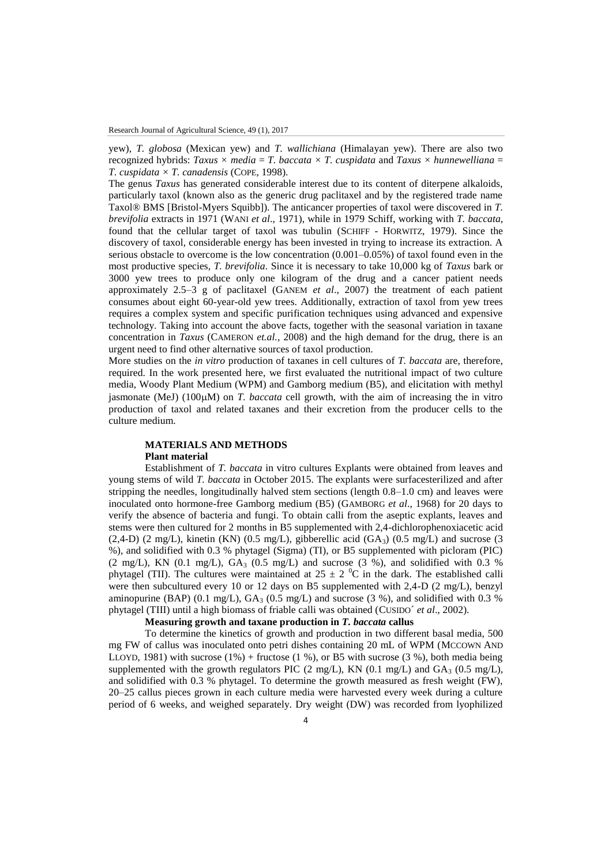yew), *T. globosa* (Mexican yew) and *T. wallichiana* (Himalayan yew). There are also two recognized hybrids: *Taxus*  $\times$  *media* = *T. baccata*  $\times$  *T. cuspidata* and *Taxus*  $\times$  *hunnewelliana* = *T. cuspidata × T. canadensis* (COPE, 1998).

The genus *Taxus* has generated considerable interest due to its content of diterpene alkaloids, particularly taxol (known also as the generic drug paclitaxel and by the registered trade name Taxol® BMS [Bristol-Myers Squibb]). The anticancer properties of taxol were discovered in *T. brevifolia* extracts in 1971 (WANI *et al*., 1971), while in 1979 Schiff, working with *T. baccata*, found that the cellular target of taxol was tubulin (SCHIFF - HORWITZ, 1979). Since the discovery of taxol, considerable energy has been invested in trying to increase its extraction. A serious obstacle to overcome is the low concentration (0.001–0.05%) of taxol found even in the most productive species, *T. brevifolia*. Since it is necessary to take 10,000 kg of *Taxus* bark or 3000 yew trees to produce only one kilogram of the drug and a cancer patient needs approximately 2.5–3 g of paclitaxel (GANEM *et al*., 2007) the treatment of each patient consumes about eight 60-year-old yew trees. Additionally, extraction of taxol from yew trees requires a complex system and specific purification techniques using advanced and expensive technology. Taking into account the above facts, together with the seasonal variation in taxane concentration in *Taxus* (CAMERON *et.al.*, 2008) and the high demand for the drug, there is an urgent need to find other alternative sources of taxol production.

More studies on the *in vitro* production of taxanes in cell cultures of *T. baccata* are, therefore, required. In the work presented here, we first evaluated the nutritional impact of two culture media, Woody Plant Medium (WPM) and Gamborg medium (B5), and elicitation with methyl jasmonate (MeJ)  $(100\mu)$  on *T. baccata* cell growth, with the aim of increasing the in vitro production of taxol and related taxanes and their excretion from the producer cells to the culture medium.

### **MATERIALS AND METHODS Plant material**

Establishment of *T. baccata* in vitro cultures Explants were obtained from leaves and young stems of wild *T. baccata* in October 2015. The explants were surfacesterilized and after stripping the needles, longitudinally halved stem sections (length 0.8–1.0 cm) and leaves were inoculated onto hormone-free Gamborg medium (B5) (GAMBORG *et al*., 1968) for 20 days to verify the absence of bacteria and fungi. To obtain calli from the aseptic explants, leaves and stems were then cultured for 2 months in B5 supplemented with 2,4-dichlorophenoxiacetic acid  $(2,4-D)$  (2 mg/L), kinetin (KN)  $(0.5 \text{ mg/L})$ , gibberellic acid  $(GA_3)$   $(0.5 \text{ mg/L})$  and sucrose (3) %), and solidified with 0.3 % phytagel (Sigma) (TI), or B5 supplemented with picloram (PIC)  $(2 \text{ mg/L})$ , KN  $(0.1 \text{ mg/L})$ , GA<sub>3</sub>  $(0.5 \text{ mg/L})$  and sucrose  $(3\%)$ , and solidified with 0.3 % phytagel (TII). The cultures were maintained at  $25 \pm 2$  °C in the dark. The established calli were then subcultured every 10 or 12 days on B5 supplemented with 2,4-D (2 mg/L), benzyl aminopurine (BAP) (0.1 mg/L),  $GA_3$  (0.5 mg/L) and sucrose (3 %), and solidified with 0.3 % phytagel (TIII) until a high biomass of friable calli was obtained (CUSIDO´ *et al*., 2002).

### **Measuring growth and taxane production in** *T. baccata* **callus**

To determine the kinetics of growth and production in two different basal media, 500 mg FW of callus was inoculated onto petri dishes containing 20 mL of WPM (MCCOWN AND LLOYD, 1981) with sucrose  $(1\%)$  + fructose  $(1\%)$ , or B5 with sucrose  $(3\%)$ , both media being supplemented with the growth regulators PIC (2 mg/L), KN (0.1 mg/L) and  $GA_3$  (0.5 mg/L), and solidified with 0.3 % phytagel. To determine the growth measured as fresh weight (FW), 20–25 callus pieces grown in each culture media were harvested every week during a culture period of 6 weeks, and weighed separately. Dry weight (DW) was recorded from lyophilized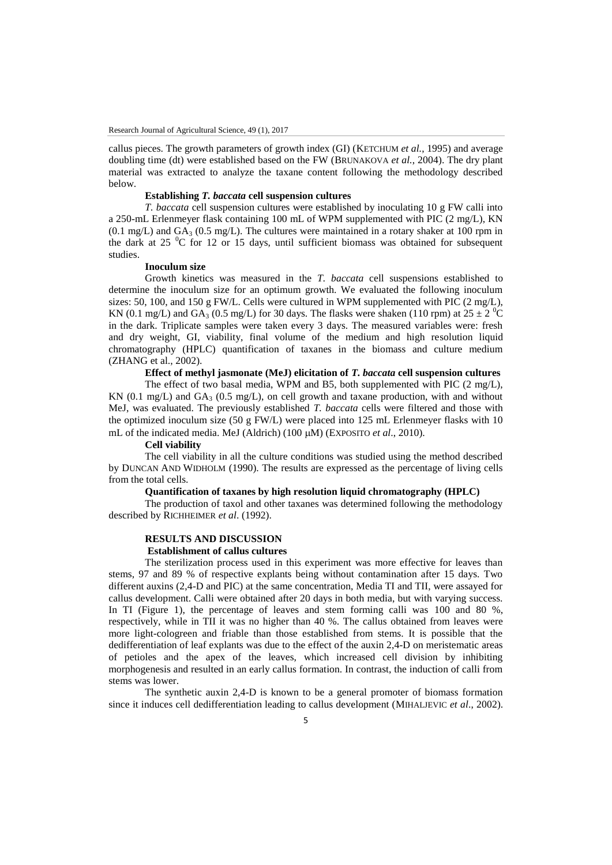callus pieces. The growth parameters of growth index (GI) (KETCHUM *et al.*, 1995) and average doubling time (dt) were established based on the FW (BRUNAKOVA *et al.*, 2004). The dry plant material was extracted to analyze the taxane content following the methodology described below.

### **Establishing** *T. baccata* **cell suspension cultures**

*T. baccata* cell suspension cultures were established by inoculating 10 g FW calli into a 250-mL Erlenmeyer flask containing 100 mL of WPM supplemented with PIC (2 mg/L), KN  $(0.1 \text{ mg/L})$  and  $GA_3$  (0.5 mg/L). The cultures were maintained in a rotary shaker at 100 rpm in the dark at 25  $\mathrm{^0C}$  for 12 or 15 days, until sufficient biomass was obtained for subsequent studies.

### **Inoculum size**

Growth kinetics was measured in the *T. baccata* cell suspensions established to determine the inoculum size for an optimum growth. We evaluated the following inoculum sizes: 50, 100, and 150 g FW/L. Cells were cultured in WPM supplemented with PIC  $(2 \text{ mg/L})$ , KN (0.1 mg/L) and GA<sub>3</sub> (0.5 mg/L) for 30 days. The flasks were shaken (110 rpm) at  $25 \pm 2$  <sup>o</sup>C in the dark. Triplicate samples were taken every 3 days. The measured variables were: fresh and dry weight, GI, viability, final volume of the medium and high resolution liquid chromatography (HPLC) quantification of taxanes in the biomass and culture medium (ZHANG et al., 2002).

# **Effect of methyl jasmonate (MeJ) elicitation of** *T. baccata* **cell suspension cultures**

The effect of two basal media, WPM and B5, both supplemented with PIC (2 mg/L), KN (0.1 mg/L) and  $GA_3$  (0.5 mg/L), on cell growth and taxane production, with and without MeJ, was evaluated. The previously established *T. baccata* cells were filtered and those with the optimized inoculum size (50 g FW/L) were placed into 125 mL Erlenmeyer flasks with 10 mL of the indicated media. MeJ (Aldrich) (100  $\mu$ M) (EXPOSITO *et al.*, 2010).

### **Cell viability**

The cell viability in all the culture conditions was studied using the method described by DUNCAN AND WIDHOLM (1990). The results are expressed as the percentage of living cells from the total cells.

## **Quantification of taxanes by high resolution liquid chromatography (HPLC)**

The production of taxol and other taxanes was determined following the methodology described by RICHHEIMER *et al*. (1992).

# **RESULTS AND DISCUSSION**

# **Establishment of callus cultures**

The sterilization process used in this experiment was more effective for leaves than stems, 97 and 89 % of respective explants being without contamination after 15 days. Two different auxins (2,4-D and PIC) at the same concentration, Media TI and TII, were assayed for callus development. Calli were obtained after 20 days in both media, but with varying success. In TI (Figure 1), the percentage of leaves and stem forming calli was 100 and 80 %, respectively, while in TII it was no higher than 40 %. The callus obtained from leaves were more light-cologreen and friable than those established from stems. It is possible that the dedifferentiation of leaf explants was due to the effect of the auxin 2,4-D on meristematic areas of petioles and the apex of the leaves, which increased cell division by inhibiting morphogenesis and resulted in an early callus formation. In contrast, the induction of calli from stems was lower.

The synthetic auxin 2,4-D is known to be a general promoter of biomass formation since it induces cell dedifferentiation leading to callus development (MIHALJEVIC *et al*., 2002).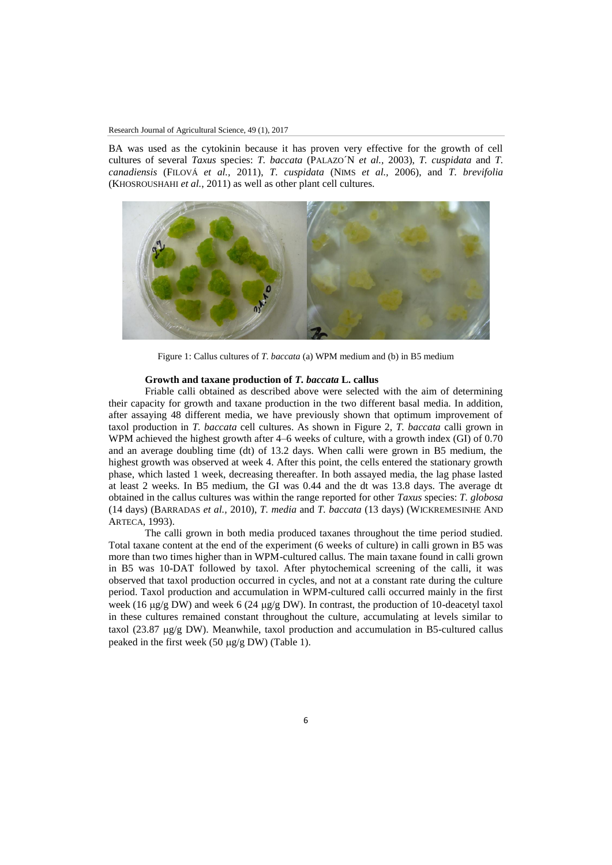### Research Journal of Agricultural Science, 49 (1), 2017

BA was used as the cytokinin because it has proven very effective for the growth of cell cultures of several *Taxus* species: *T. baccata* (PALAZO´N *et al.,* 2003), *T. cuspidata* and *T. canadiensis* (FILOVÁ *et al.,* 2011), *T. cuspidata* (NIMS *et al.,* 2006), and *T. brevifolia*  (KHOSROUSHAHI *et al.*, 2011) as well as other plant cell cultures.



Figure 1: Callus cultures of *T. baccata* (a) WPM medium and (b) in B5 medium

### **Growth and taxane production of** *T. baccata* **L. callus**

Friable calli obtained as described above were selected with the aim of determining their capacity for growth and taxane production in the two different basal media. In addition, after assaying 48 different media, we have previously shown that optimum improvement of taxol production in *T. baccata* cell cultures. As shown in Figure 2, *T. baccata* calli grown in WPM achieved the highest growth after 4–6 weeks of culture, with a growth index (GI) of 0.70 and an average doubling time (dt) of 13.2 days. When calli were grown in B5 medium, the highest growth was observed at week 4. After this point, the cells entered the stationary growth phase, which lasted 1 week, decreasing thereafter. In both assayed media, the lag phase lasted at least 2 weeks. In B5 medium, the GI was 0.44 and the dt was 13.8 days. The average dt obtained in the callus cultures was within the range reported for other *Taxus* species: *T. globosa* (14 days) (BARRADAS *et al.,* 2010), *T. media* and *T. baccata* (13 days) (WICKREMESINHE AND ARTECA, 1993).

The calli grown in both media produced taxanes throughout the time period studied. Total taxane content at the end of the experiment (6 weeks of culture) in calli grown in B5 was more than two times higher than in WPM-cultured callus. The main taxane found in calli grown in B5 was 10-DAT followed by taxol. After phytochemical screening of the calli, it was observed that taxol production occurred in cycles, and not at a constant rate during the culture period. Taxol production and accumulation in WPM-cultured calli occurred mainly in the first week (16  $\mu$ g/g DW) and week 6 (24  $\mu$ g/g DW). In contrast, the production of 10-deacetyl taxol in these cultures remained constant throughout the culture, accumulating at levels similar to taxol (23.87  $\mu$ g/g DW). Meanwhile, taxol production and accumulation in B5-cultured callus peaked in the first week (50  $\mu$ g/g DW) (Table 1).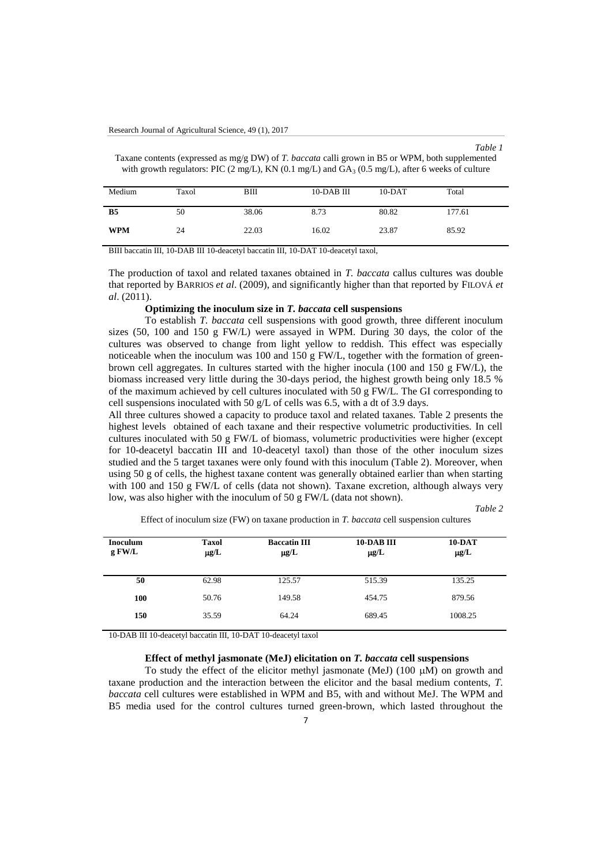| anı |  |
|-----|--|
|-----|--|

Taxane contents (expressed as mg/g DW) of *T. baccata* calli grown in B5 or WPM, both supplemented with growth regulators: PIC  $(2 \text{ mg/L})$ , KN  $(0.1 \text{ mg/L})$  and  $GA_3$   $(0.5 \text{ mg/L})$ , after 6 weeks of culture

| Medium         | Taxol | BIII  | $10$ -DAB III | $10-DAT$ | Total  |
|----------------|-------|-------|---------------|----------|--------|
| B <sub>5</sub> | 50    | 38.06 | 8.73          | 80.82    | 177.61 |
| <b>WPM</b>     | 24    | 22.03 | 16.02         | 23.87    | 85.92  |

BIII baccatin III, 10-DAB III 10-deacetyl baccatin III, 10-DAT 10-deacetyl taxol,

The production of taxol and related taxanes obtained in *T. baccata* callus cultures was double that reported by BARRIOS *et al*. (2009), and significantly higher than that reported by FILOVÁ *et al*. (2011).

## **Optimizing the inoculum size in** *T. baccata* **cell suspensions**

To establish *T. baccata* cell suspensions with good growth, three different inoculum sizes (50, 100 and 150 g FW/L) were assayed in WPM. During 30 days, the color of the cultures was observed to change from light yellow to reddish. This effect was especially noticeable when the inoculum was 100 and 150 g FW/L, together with the formation of greenbrown cell aggregates. In cultures started with the higher inocula (100 and 150 g FW/L), the biomass increased very little during the 30-days period, the highest growth being only 18.5 % of the maximum achieved by cell cultures inoculated with 50 g FW/L. The GI corresponding to cell suspensions inoculated with 50 g/L of cells was 6.5, with a dt of 3.9 days.

All three cultures showed a capacity to produce taxol and related taxanes. Table 2 presents the highest levels obtained of each taxane and their respective volumetric productivities. In cell cultures inoculated with 50 g FW/L of biomass, volumetric productivities were higher (except for 10-deacetyl baccatin III and 10-deacetyl taxol) than those of the other inoculum sizes studied and the 5 target taxanes were only found with this inoculum (Table 2). Moreover, when using 50 g of cells, the highest taxane content was generally obtained earlier than when starting with 100 and 150 g FW/L of cells (data not shown). Taxane excretion, although always very low, was also higher with the inoculum of 50 g FW/L (data not shown).

*Table 2*

| <b>Inoculum</b><br>g FW/L | <b>Taxol</b><br>$\mu$ g/L | <b>Baccatin III</b><br>$\mu$ g/L | 10-DAB III<br>$\mu$ g/L | $10-DAT$<br>$\mu$ g/L |
|---------------------------|---------------------------|----------------------------------|-------------------------|-----------------------|
| 50                        | 62.98                     | 125.57                           | 515.39                  | 135.25                |
| 100                       | 50.76                     | 149.58                           | 454.75                  | 879.56                |
| 150                       | 35.59                     | 64.24                            | 689.45                  | 1008.25               |

Effect of inoculum size (FW) on taxane production in *T. baccata* cell suspension cultures

10-DAB III 10-deacetyl baccatin III, 10-DAT 10-deacetyl taxol

### **Effect of methyl jasmonate (MeJ) elicitation on** *T. baccata* **cell suspensions**

To study the effect of the elicitor methyl jasmonate (MeJ) (100  $\mu$ M) on growth and taxane production and the interaction between the elicitor and the basal medium contents, *T. baccata* cell cultures were established in WPM and B5, with and without MeJ. The WPM and B5 media used for the control cultures turned green-brown, which lasted throughout the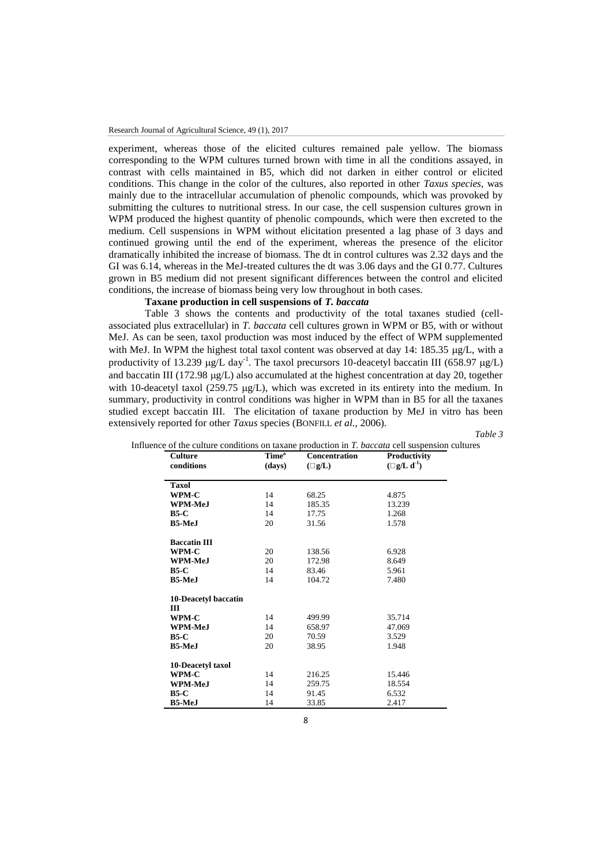experiment, whereas those of the elicited cultures remained pale yellow. The biomass corresponding to the WPM cultures turned brown with time in all the conditions assayed, in contrast with cells maintained in B5, which did not darken in either control or elicited conditions. This change in the color of the cultures, also reported in other *Taxus species*, was mainly due to the intracellular accumulation of phenolic compounds, which was provoked by submitting the cultures to nutritional stress. In our case, the cell suspension cultures grown in WPM produced the highest quantity of phenolic compounds, which were then excreted to the medium. Cell suspensions in WPM without elicitation presented a lag phase of 3 days and continued growing until the end of the experiment, whereas the presence of the elicitor dramatically inhibited the increase of biomass. The dt in control cultures was 2.32 days and the GI was 6.14, whereas in the MeJ-treated cultures the dt was 3.06 days and the GI 0.77. Cultures grown in B5 medium did not present significant differences between the control and elicited conditions, the increase of biomass being very low throughout in both cases.

### **Taxane production in cell suspensions of** *T. baccata*

Table 3 shows the contents and productivity of the total taxanes studied (cellassociated plus extracellular) in *T. baccata* cell cultures grown in WPM or B5, with or without MeJ. As can be seen, taxol production was most induced by the effect of WPM supplemented with MeJ. In WPM the highest total taxol content was observed at day 14: 185.35 µg/L, with a productivity of 13.239  $\mu$ g/L day<sup>-1</sup>. The taxol precursors 10-deacetyl baccatin III (658.97  $\mu$ g/L) and baccatin III (172.98  $\mu$ g/L) also accumulated at the highest concentration at day 20, together with 10-deacetyl taxol (259.75  $\mu$ g/L), which was excreted in its entirety into the medium. In summary, productivity in control conditions was higher in WPM than in B5 for all the taxanes studied except baccatin III. The elicitation of taxane production by MeJ in vitro has been extensively reported for other *Taxus* species (BONFILL *et al.*, 2006).

*Table 3*

| <b>Culture</b>       | Time <sup>a</sup> | <b>Concentration</b> | Productivity        |
|----------------------|-------------------|----------------------|---------------------|
| conditions           | (days)            | $(\Box g/L)$         | $(\Box g/L d^{-1})$ |
| <b>Taxol</b>         |                   |                      |                     |
| WPM-C                | 14                | 68.25                | 4.875               |
| WPM-MeJ              | 14                | 185.35               | 13.239              |
| $B5-C$               | 14                | 17.75                | 1.268               |
| <b>B5-MeJ</b>        | 20                | 31.56                | 1.578               |
| <b>Baccatin III</b>  |                   |                      |                     |
| WPM-C                | 20                | 138.56               | 6.928               |
| WPM-MeJ              | 20                | 172.98               | 8.649               |
| $B5-C$               | 14                | 83.46                | 5.961               |
| <b>B5-MeJ</b>        | 14                | 104.72               | 7.480               |
| 10-Deacetyl baccatin |                   |                      |                     |
| Ш                    |                   |                      |                     |
| WPM-C                | 14                | 499.99               | 35.714              |
| WPM-MeJ              | 14                | 658.97               | 47.069              |
| $B5-C$               | 20                | 70.59                | 3.529               |
| <b>B5-MeJ</b>        | 20                | 38.95                | 1.948               |
| 10-Deacetyl taxol    |                   |                      |                     |
| WPM-C                | 14                | 216.25               | 15.446              |
| WPM-MeJ              | 14                | 259.75               | 18.554              |
| <b>B5-C</b>          | 14                | 91.45                | 6.532               |
| <b>B5-MeJ</b>        | 14                | 33.85                | 2.417               |

|  | Tab |
|--|-----|
|  |     |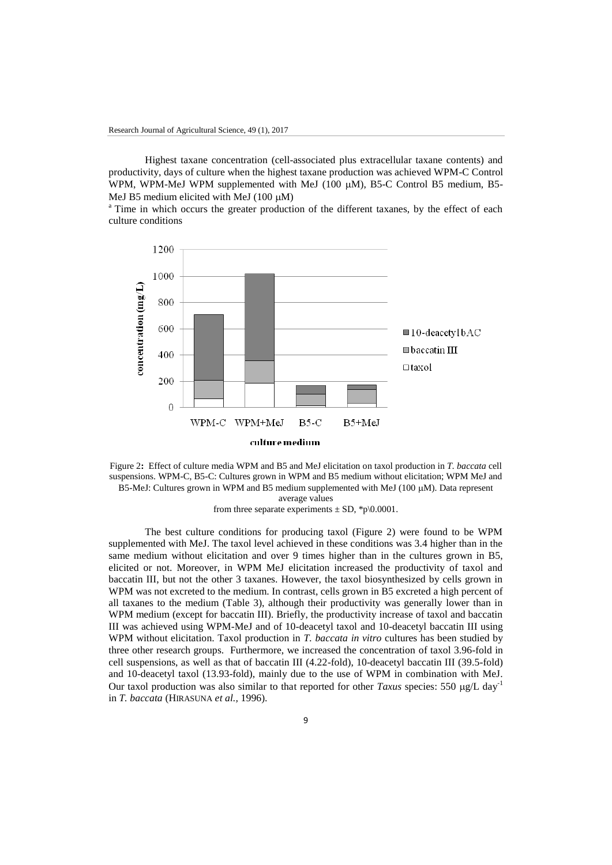Highest taxane concentration (cell-associated plus extracellular taxane contents) and productivity, days of culture when the highest taxane production was achieved WPM-C Control WPM, WPM-MeJ WPM supplemented with MeJ (100 µM), B5-C Control B5 medium, B5-MeJ B5 medium elicited with MeJ  $(100 \mu M)$ 

<sup>a</sup> Time in which occurs the greater production of the different taxanes, by the effect of each culture conditions



Figure 2**:** Effect of culture media WPM and B5 and MeJ elicitation on taxol production in *T. baccata* cell suspensions. WPM-C, B5-C: Cultures grown in WPM and B5 medium without elicitation; WPM MeJ and B5-MeJ: Cultures grown in WPM and B5 medium supplemented with MeJ (100  $\mu$ M). Data represent average values

from three separate experiments  $\pm$  SD, \*p\0.0001.

The best culture conditions for producing taxol (Figure 2) were found to be WPM supplemented with MeJ. The taxol level achieved in these conditions was 3.4 higher than in the same medium without elicitation and over 9 times higher than in the cultures grown in B5, elicited or not. Moreover, in WPM MeJ elicitation increased the productivity of taxol and baccatin III, but not the other 3 taxanes. However, the taxol biosynthesized by cells grown in WPM was not excreted to the medium. In contrast, cells grown in B5 excreted a high percent of all taxanes to the medium (Table 3), although their productivity was generally lower than in WPM medium (except for baccatin III). Briefly, the productivity increase of taxol and baccatin III was achieved using WPM-MeJ and of 10-deacetyl taxol and 10-deacetyl baccatin III using WPM without elicitation. Taxol production in *T. baccata in vitro* cultures has been studied by three other research groups. Furthermore, we increased the concentration of taxol 3.96-fold in cell suspensions, as well as that of baccatin III (4.22-fold), 10-deacetyl baccatin III (39.5-fold) and 10-deacetyl taxol (13.93-fold), mainly due to the use of WPM in combination with MeJ. Our taxol production was also similar to that reported for other *Taxus* species: 550  $\mu$ g/L day<sup>-1</sup> in *T. baccata* (HIRASUNA *et al.,* 1996).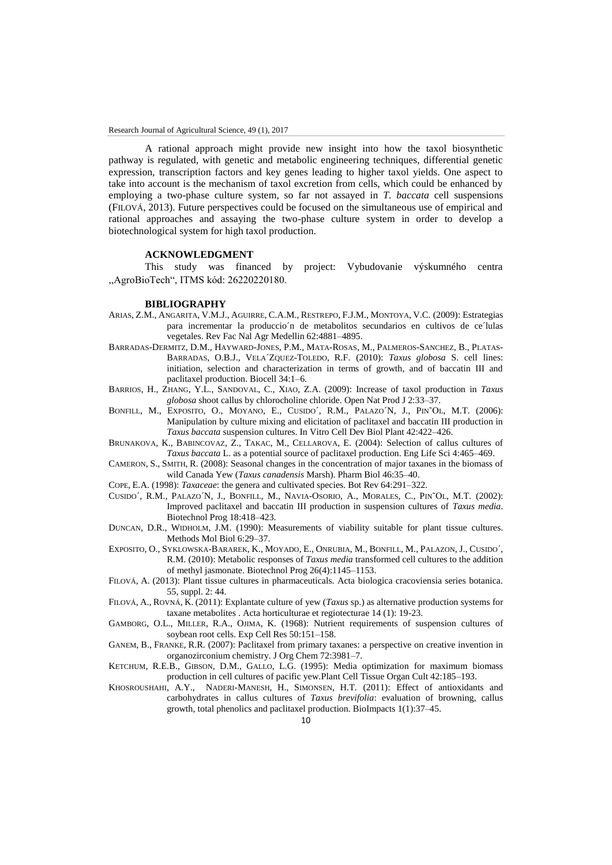A rational approach might provide new insight into how the taxol biosynthetic pathway is regulated, with genetic and metabolic engineering techniques, differential genetic expression, transcription factors and key genes leading to higher taxol yields. One aspect to take into account is the mechanism of taxol excretion from cells, which could be enhanced by employing a two-phase culture system, so far not assayed in *T. baccata* cell suspensions (FILOVÁ, 2013). Future perspectives could be focused on the simultaneous use of empirical and rational approaches and assaying the two-phase culture system in order to develop a biotechnological system for high taxol production.

### **ACKNOWLEDGMENT**

This study was financed by project: Vybudovanie výskumného centra ,,AgroBioTech", ITMS kód: 26220220180.

### **BIBLIOGRAPHY**

- ARIAS, Z.M., ANGARITA, V.M.J., AGUIRRE, C.A.M., RESTREPO, F.J.M., MONTOYA, V.C. (2009): Estrategias para incrementar la produccio´n de metabolitos secundarios en cultivos de ce´lulas vegetales. Rev Fac Nal Agr Medellin 62:4881–4895.
- BARRADAS-DERMITZ, D.M., HAYWARD-JONES, P.M., MATA-ROSAS, M., PALMEROS-SANCHEZ, B., PLATAS-BARRADAS, O.B.J., VELA´ZQUEZ-TOLEDO, R.F. (2010): *Taxus globosa* S. cell lines: initiation, selection and characterization in terms of growth, and of baccatin III and paclitaxel production. Biocell 34:1–6.
- BARRIOS, H., ZHANG, Y.L., SANDOVAL, C., XIAO, Z.A. (2009): Increase of taxol production in *Taxus globosa* shoot callus by chlorocholine chloride. Open Nat Prod J 2:33–37.
- BONFILL, M., EXPOSITO, O., MOYANO, E., CUSIDO´, R.M., PALAZO´N, J., PIN˜OL, M.T. (2006): Manipulation by culture mixing and elicitation of paclitaxel and baccatin III production in *Taxus baccata* suspension cultures. In Vitro Cell Dev Biol Plant 42:422–426.
- BRUNAKOVA, K., BABINCOVAZ, Z., TAKAC, M., CELLAROVA, E. (2004): Selection of callus cultures of *Taxus baccata* L. as a potential source of paclitaxel production. Eng Life Sci 4:465–469.
- CAMERON, S., SMITH, R. (2008): Seasonal changes in the concentration of major taxanes in the biomass of wild Canada Yew (*Taxus canadensis* Marsh). Pharm Biol 46:35–40.
- COPE, E.A. (1998): *Taxaceae*: the genera and cultivated species. Bot Rev 64:291–322.
- CUSIDO´, R.M., PALAZO´N, J., BONFILL, M., NAVIA-OSORIO, A., MORALES, C., PIN˜OL, M.T. (2002): Improved paclitaxel and baccatin III production in suspension cultures of *Taxus media*. Biotechnol Prog 18:418–423.
- DUNCAN, D.R., WIDHOLM, J.M. (1990): Measurements of viability suitable for plant tissue cultures. Methods Mol Biol 6:29–37.
- EXPOSITO, O., SYKLOWSKA-BARAREK, K., MOYADO, E., ONRUBIA, M., BONFILL, M., PALAZON, J., CUSIDO´, R.M. (2010): Metabolic responses of *Taxus media* transformed cell cultures to the addition of methyl jasmonate. Biotechnol Prog 26(4):1145–1153.
- FILOVÁ, A. (2013): Plant tissue cultures in pharmaceuticals. Acta biologica cracoviensia series botanica. 55, suppl. 2: 44.
- FILOVÁ, A., ROVNÁ, K. (2011): Explantate culture of yew (*Taxus* sp.) as alternative production systems for taxane metabolites . Acta horticulturae et regiotecturae 14 (1): 19-23.
- GAMBORG, O.L., MILLER, R.A., OJIMA, K. (1968): Nutrient requirements of suspension cultures of soybean root cells. Exp Cell Res 50:151–158.
- GANEM, B., FRANKE, R.R. (2007): Paclitaxel from primary taxanes: a perspective on creative invention in organozirconium chemistry. J Org Chem 72:3981–7.
- KETCHUM, R.E.B., GIBSON, D.M., GALLO, L.G. (1995): Media optimization for maximum biomass production in cell cultures of pacific yew.Plant Cell Tissue Organ Cult 42:185–193.
- KHOSROUSHAHI, A.Y., NADERI-MANESH, H., SIMONSEN, H.T. (2011): Effect of antioxidants and carbohydrates in callus cultures of *Taxus brevifolia*: evaluation of browning, callus growth, total phenolics and paclitaxel production. BioImpacts 1(1):37–45.